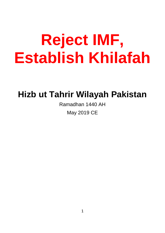# **Reject IMF, Establish Khilafah**

# **Hizb ut Tahrir Wilayah Pakistan**

Ramadhan 1440 AH May 2019 CE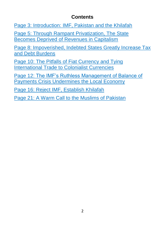### **Contents**

[Page 3: Introduction: IMF, Pakistan and the Khilafah](#page-2-0)

[Page 5: Through Rampant Privatization, The State](#page-4-0)  [Becomes Deprived of Revenues in Capitalism](#page-4-0)

[Page 8: Impoverished, Indebted States Greatly Increase Tax](#page-7-0)  [and Debt Burdens](#page-7-0)

Page 10: The Pitfalls [of Fiat Currency and Tying](#page-9-0)  [International Trade to Colonialist Currencies](#page-9-0)

[Page 12: The IMF's Ruthless Management of Balance of](#page-11-0)  [Payments Crisis Undermines the Local Economy](#page-11-0)

[Page 16: Reject IMF, Establish Khilafah](#page-15-0)

[Page 21: A Warm Call to the Muslims of Pakistan](#page-20-0)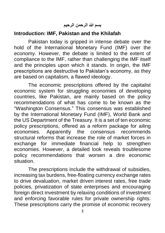**بسم هللا الرحمن الرحيم**

#### <span id="page-2-0"></span>**Introduction: IMF, Pakistan and the Khilafah**

Pakistan today is gripped in intense debate over the hold of the International Monetary Fund (IMF) over the economy. However, the debate is limited to the extent of compliance to the IMF, rather than challenging the IMF itself and the principles upon which it stands. In origin, the IMF prescriptions are destructive to Pakistan's economy, as they are based on capitalism, a flawed ideology.

The economic prescriptions offered by the capitalist economic system for struggling economies of developing countries, like Pakistan, are mainly based on the policy recommendations of what has come to be known as the "Washington Consensus." This consensus was established by the International Monetary Fund (IMF), World Bank and the US Department of the Treasury. It is a set of ten economic policy prescriptions, offered as a reform package for ailing economies. Apparently the consensus recommends structural reforms that increase the role of market forces in exchange for immediate financial help to strengthen economies. However, a detailed look reveals troublesome policy recommendations that worsen a dire economic situation.

The prescriptions include the withdrawal of subsidies, increasing tax burdens, free-floating currency exchange rates to drive devaluation, market driven interest rates, free trade policies, privatization of state enterprises and encouraging foreign direct investment by relaxing conditions of investment and enforcing favorable rules for private ownership rights. These prescriptions carry the promise of economic recovery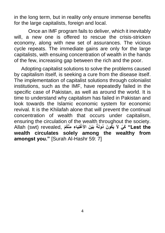in the long term, but in reality only ensure immense benefits for the large capitalists, foreign and local.

Once an IMF program fails to deliver, which it inevitably will, a new one is offered to rescue the crisis-stricken economy, along with new set of assurances. The vicious cycle repeats. The immediate gains are only for the large capitalists, with ensuing concentration of wealth in the hands of the few, increasing gap between the rich and the poor.

Adopting capitalist solutions to solve the problems caused by capitalism itself, is seeking a cure from the disease itself. The implementation of capitalist solutions through colonialist institutions, such as the IMF, have repeatedly failed in the specific case of Pakistan, as well as around the world. It is time to understand why capitalism has failed in Pakistan and look towards the Islamic economic system for economic revival. It is the Khilafah alone that will prevent the continual concentration of wealth that occurs under capitalism, ensuring the circulation of the wealth throughout the society. **ْغنَِيا ِء ِمْن ُكْم** ,revealed) swt (Allah **َبْي َن األَ َي ُكو َن ُدولَةً the Lest "َك ْي الَ wealth circulates solely among the wealthy from amongst you."** [Surah Al-Hashr 59: 7]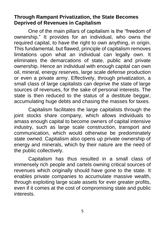#### <span id="page-4-0"></span>**Through Rampant Privatization, the State Becomes Deprived of Revenues in Capitalism**

One of the main pillars of capitalism is the "freedom of ownership." It provides for an individual, who owns the required capital, to have the right to own anything, in origin. This fundamental, but flawed, principle of capitalism removes limitations upon what an individual can legally own. It eliminates the demarcations of state, public and private ownership. Hence an individual with enough capital can own oil, mineral, energy reserves, large scale defense production or even a private army. Effectively, through privatization, a small class of large capitalists can deprive the state of large sources of revenues, for the sake of personal interests. The state is then reduced to the status of a destitute beggar. accumulating huge debts and chasing the masses for taxes.

Capitalism facilitates the large capitalists through the joint stocks share company, which allows individuals to amass enough capital to become owners of capital intensive industry, such as large scale construction, transport and communication, which would otherwise be predominately state owned. Capitalism also opens up private ownership of energy and minerals, which by their nature are the need of the public collectively.

Capitalism has thus resulted in a small class of immensely rich people and cartels owning critical sources of revenues which originally should have gone to the state. It enables private companies to accumulate massive wealth, through exploiting large scale assets for ever greater profits, even if it comes at the cost of compromising state and public interests.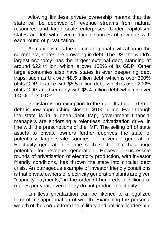Allowing limitless private ownership means that the state will be deprived of revenue streams from natural resources and large scale enterprises. Under capitalism, states are left with ever reduced sources of revenue with each round of privatization.

As capitalism is the dominant global civilization in the current era, states are drowning in debt. The US, the world's largest economy, has the largest external debt, standing at around \$22 trillion, which is over 100% of its GDP. Other large economies also have states in ever deepening debt traps, such as UK with \$8.5 trillion debt, which is over 300% of its GDP, France with \$5.5 trillion debt, which is over 200% of its GDP and Germany with \$5.4 trillion debt, which is over 140% of its GDP.

Pakistan is no exception to the rule. Its total external debt is now approaching close to \$100 billion. Even though the state is in a deep debt trap, government financial managers are endorsing a relentless privatization drive, in line with the prescriptions of the IMF. The selling off of state assets to private owners further deprives the state of potentially large scale sources for revenue generation. Electricity generation is one such sector that has huge potential for revenue generation. However, successive rounds of privatization of electricity production, with investor friendly conditions, has thrown the state into circular debt crisis. An outrageous example of investor friendly conditions is that private owners of electricity generation plants are given "capacity payments," in the order of hundreds of billions of rupees per year, even if they do not produce electricity.

Limitless privatization can be likened to a legalized form of misappropriation of wealth. Examining the personal wealth of the corrupt from the military and political leadership,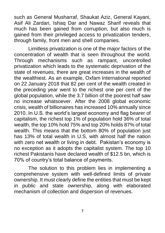such as General Musharraf, Shaukat Aziz, General Kayani, Asif Ali Zardari, Ishaq Dar and Nawaz Sharif reveals that much has been gained from corruption, but also much is gained from their privileged access to privatization tenders, through family, front men and shell companies.

Limitless privatization is one of the major factors of the concentration of wealth that is seen throughout the world. Through mechanisms such as rampant, uncontrolled privatization which leads to the systematic deprivation of the state of revenues, there are great increases in the wealth of the wealthiest. As an example, Oxfam International reported on 22 January 2018 that 82 per cent of the wealth created in the preceding year went to the richest one per cent of the global population, while the 3.7 billion of the poorest half saw no increase whatsoever. After the 2008 global economic crisis, wealth of billionaires has increased 10% annually since 2010. In U.S. the world's largest economy and flag bearer of capitalism, the richest top 1% of population hold 36% of total wealth, the top 10% hold 75% and top 20% holds 87% of total wealth. This means that the bottom 80% of population just has 13% of total wealth in U.S, with almost half the nation with zero net wealth or living in debt. Pakistan's economy is no exception as it adopts the capitalist system. The top 10 richest Pakistanis have declared wealth of \$12.5 bn, which is 70% of country's total balance of payments.

The solution to this problem lies in implementing a comprehensive system with well-defined limits of private ownership. It must clearly define the entities that must be kept in public and state ownership, along with elaborated mechanism of collection and dispersion of revenues.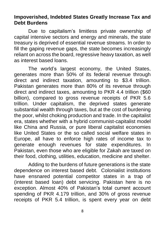#### <span id="page-7-0"></span>**Impoverished, Indebted States Greatly Increase Tax and Debt Burdens**

Due to capitalism's limitless private ownership of capital intensive sectors and energy and minerals, the state treasury is deprived of essential revenue streams. In order to fill the gaping revenue gaps, the state becomes increasingly reliant on across the board, regressive heavy taxation, as well as interest based loans.

The world's largest economy, the United States, generates more than 50% of its federal revenue through direct and indirect taxation, amounting to \$3.4 trillion. Pakistan generates more than 80% of its revenue through direct and indirect taxes, amounting to PKR 4.4 trillion (\$60 billion), compared to gross revenue receipts of PKR 5.6 trillion. Under capitalism, the deprived states generate substantial wealth through taxes, but at the cost of burdening the poor, whilst choking production and trade. In the capitalist era, states whether with a hybrid communist-capitalist model like China and Russia, or pure liberal capitalist economies like United States or the so called social welfare states in Europe, all have to enforce high rates of income tax to generate enough revenues for state expenditures. In Pakistan, even those who are eligible for Zakah are taxed on their food, clothing, utilities, education, medicine and shelter.

Adding to the burdens of future generations is the state dependence on interest based debt. Colonialist institutions have ensnared potential competitor states in a trap of (interest based loan) debt servicing. Pakistan here is no exception. Almost 40% of Pakistan's total current account spending of PKR 4.179 trillion, and 30% of gross revenue receipts of PKR 5.4 trillion, is spent every year on debt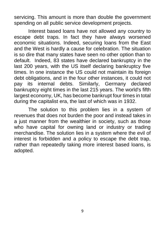servicing. This amount is more than double the government spending on all public service development projects.

Interest based loans have not allowed any country to escape debt traps. In fact they have always worsened economic situations. Indeed, securing loans from the East and the West is hardly a cause for celebration. The situation is so dire that many states have seen no other option than to default. Indeed, 83 states have declared bankruptcy in the last 200 years, with the US itself declaring bankruptcy five times. In one instance the US could not maintain its foreign debt obligations, and in the four other instances, it could not pay its internal debts. Similarly, Germany declared bankruptcy eight times in the last 215 years. The world's fifth largest economy, UK, has become bankrupt four times in total during the capitalist era, the last of which was in 1932.

The solution to this problem lies in a system of revenues that does not burden the poor and instead takes in a just manner from the wealthier in society, such as those who have capital for owning land or industry or trading merchandise. The solution lies in a system where the evil of interest is forbidden and a policy to escape the debt trap, rather than repeatedly taking more interest based loans, is adopted.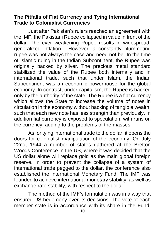#### <span id="page-9-0"></span>**The Pitfalls of Fiat Currency and Tying International Trade to Colonialist Currencies**

Just after Pakistan's rulers reached an agreement with the IMF, the Pakistani Rupee collapsed in value in front of the dollar. The ever weakening Rupee results in widespread, generalized inflation. However, a constantly plummeting rupee was not always the case and need not be. In the time of Islamic ruling in the Indian Subcontinent, the Rupee was originally backed by silver. The precious metal standard stabilized the value of the Rupee both internally and in international trade, such that under Islam, the Indian Subcontinent was an economic powerhouse for the global economy. In contrast, under capitalism, the Rupee is backed only by the authority of the state. The Rupee is a fiat currency which allows the State to increase the volume of notes in circulation in the economy without backing of tangible wealth, such that each new note has less strength than previously. In addition fiat currency is exposed to speculation, with runs on the currency, adding to the problems of the masses.

As for tying international trade to the dollar, it opens the doors for colonialist manipulation of the economy. On July 22nd, 1944 a number of states gathered at the Bretton Woods Conference in the US, where it was decided that the US dollar alone will replace gold as the main global foreign reserve. In order to prevent the collapse of a system of international trade pegged to the dollar, the conference also established the International Monetary Fund. The IMF was founded to achieve international monetary stability, as well as exchange rate stability, with respect to the dollar.

The method of the IMF's formulation was in a way that ensured US hegemony over its decisions. The vote of each member state is in accordance with its share in the Fund.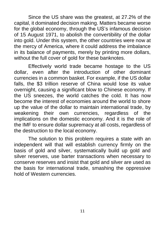Since the US share was the greatest, at 27.2% of the capital, it dominated decision making. Matters became worse for the global economy, through the US's infamous decision of 15 August 1971, to abolish the convertibility of the dollar into gold. Under this system, the other countries were now at the mercy of America, where it could address the imbalance in its balance of payments, merely by printing more dollars, without the full cover of gold for these banknotes.

Effectively world trade became hostage to the US dollar, even after the introduction of other dominant currencies in a common basket. For example, if the US dollar falls, the \$3 trillion reserve of China would lose its value overnight, causing a significant blow to Chinese economy. If the US sneezes, the world catches the cold. It has now become the interest of economies around the world to shore up the value of the dollar to maintain international trade, by weakening their own currencies, regardless of the implications on the domestic economy. And it is the role of the IMF to ensure dollar supremacy at all costs, regardless of the destruction to the local economy.

The solution to this problem requires a state with an independent will that will establish currency firmly on the basis of gold and silver, systematically build up gold and silver reserves, use barter transactions when necessary to conserve reserves and insist that gold and silver are used as the basis for international trade, smashing the oppressive hold of Western currencies.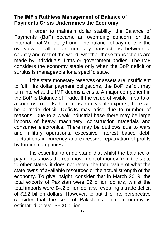#### <span id="page-11-0"></span>**The IMF's Ruthless Management of Balance of Payments Crisis Undermines the Economy**

In order to maintain dollar stability, the Balance of Payments (BoP) became an overriding concern for the International Monetary Fund. The balance of payments is the overview of all dollar monetary transactions between a country and rest of the world, whether these transactions are made by individuals, firms or government bodies. The IMF considers the economy stable only when the BoP deficit or surplus is manageable for a specific state.

If the state monetary reserves or assets are insufficient to fulfill its dollar payment obligations, the BoP deficit may turn into what the IMF deems a crisis. A major component in the BoP is Balance of Trade. If the value of visible imports of a country exceeds the returns from visible exports, there will be a trade deficit. Deficits may arise due to number of reasons. Due to a weak industrial base there may be large imports of heavy machinery, construction materials and consumer electronics. There may be outflows due to wars and military operations, excessive interest based debt, fluctuations in currency and excessive repatriation of profits by foreign companies.

It is essential to understand that whilst the balance of payments shows the real movement of money from the state to other states, it does not reveal the total value of what the state owns of available resources or the actual strength of the economy. To give insight, consider that in March 2019, the total exports of Pakistan were \$2 billion dollars, whilst the total imports were \$4.2 billion dollars, revealing a trade deficit of \$2.2 billion dollars. However, to put this into perspective consider that the size of Pakistan's entire economy is estimated at over \$300 billion.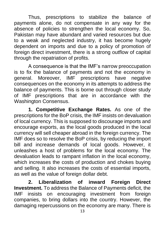Thus, prescriptions to stabilize the balance of payments alone, do not compensate in any way for the absence of policies to strengthen the local economy. So, Pakistan may have abundant and varied resources but due to a weak and neglected industry, it has become hugely dependent on imports and due to a policy of promotion of foreign direct investment, there is a strong outflow of capital through the repatriation of profits.

A consequence is that the IMF's narrow preoccupation is to fix the balance of payments and not the economy in general. Moreover, IMF prescriptions have negative consequences on the economy in its attempts to address the balance of payments. This is borne out through closer study of IMF prescriptions that are in accordance with the Washington Consensus.

**1. Competitive Exchange Rates.** As one of the prescriptions for the BoP crisis, the IMF insists on devaluation of local currency. This is supposed to discourage imports and encourage exports, as the local goods produced in the local currency will sell cheaper abroad in the foreign currency. The IMF does so to resolve the BoP crisis, by reducing the import bill and increase demands of local goods. However, it unleashes a host of problems for the local economy. The devaluation leads to rampant inflation in the local economy, which increases the costs of production and chokes buying and selling. It also increases the costs of essential imports, as well as the value of foreign dollar debt.

**2. Liberalization of inward Foreign Direct Investment.** To address the Balance of Payments deficit, the IMF insists on encouraging investment from foreign companies, to bring dollars into the country. However, the damaging repercussions on the economy are many. There is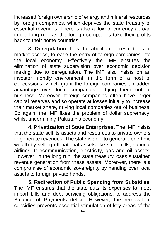increased foreign ownership of energy and mineral resources by foreign companies, which deprives the state treasury of essential revenues. There is also a flow of currency abroad in the long run, as the foreign companies take their profits back to their home countries.

**3. Deregulation.** It is the abolition of restrictions to market access, to ease the entry of foreign companies into the local economy. Effectively the IMF ensures the elimination of state supervision over economic decision making due to deregulation. The IMF also insists on an investor friendly environment, in the form of a host of concessions, which grant the foreign companies an added advantage over local companies, edging them out of business. Moreover, foreign companies often have larger capital reserves and so operate at losses initially to increase their market share, driving local companies out of business. So again, the IMF fixes the problem of dollar supremacy, whilst undermining Pakistan's economy.

**4. Privatization of State Enterprises.** The IMF insists that the state sell its assets and resources to private owners to generate revenues. The state is able to generate one-time wealth by selling off national assets like steel mills, national airlines, telecommunication, electricity, gas and oil assets. However, in the long run, the state treasury loses sustained revenue generation from these assets. Moreover, there is a compromise of economic sovereignty by handing over local assets to foreign private hands.

**5. Redirection of Public Spending from Subsidies.**  The IMF ensures that the state cuts its expenses to meet import bills and debt servicing obligations, to address the Balance of Payments deficit. However, the removal of subsidies prevents essential stimulation of key areas of the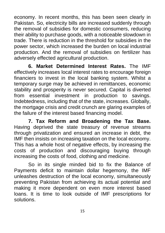economy. In recent months, this has been seen clearly in Pakistan. So, electricity bills are increased suddenly through the removal of subsidies for domestic consumers, reducing their ability to purchase goods, with a noticeable slowdown in trade. There is reduction in the threshold for subsidies in the power sector, which increased the burden on local industrial production. And the removal of subsidies on fertilizer has adversely effected agricultural production.

**6. Market Determined Interest Rates.** The IMF effectively increases local interest rates to encourage foreign financiers to invest in the local banking system. Whilst a temporary surge may be achieved in remittances, economic stability and prosperity is never secured. Capital is diverted from essential investment in production to savings. Indebtedness, including that of the state, increases. Globally, the mortgage crisis and credit crunch are glaring examples of the failure of the interest based financing model.

**7. Tax Reform and Broadening the Tax Base.**  Having deprived the state treasury of revenue streams through privatization and ensured an increase in debt, the IMF then insists on increasing taxation on the local economy. This has a whole host of negative effects, by increasing the costs of production and discouraging buying through increasing the costs of food, clothing and medicine.

So in its single minded bid to fix the Balance of Payments deficit to maintain dollar hegemony, the IMF unleashes destruction of the local economy, simultaneously preventing Pakistan from achieving its actual potential and making it more dependent on even more interest based loans. It is time to look outside of IMF prescriptions for solutions.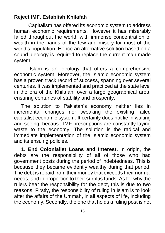# <span id="page-15-0"></span>**Reject IMF, Establish Khilafah**

Capitalism has offered its economic system to address human economic requirements. However it has miserably failed throughout the world, with immense concentration of wealth in the hands of the few and misery for most of the world's population. Hence an alternative solution based on a sound ideology is required to replace the current man-made system.

Islam is an ideology that offers a comprehensive economic system. Moreover, the Islamic economic system has a proven track record of success, spanning over several centuries. It was implemented and practiced at the state level in the era of the Khilafah, over a large geographical area, ensuring centuries of stability and prosperity.

The solution to Pakistan's economy neither lies in incremental changes nor tweaking the existing failed capitalist economic system. It certainly does not lie in waiting and seeing, because IMF prescriptions are constantly laying waste to the economy. The solution is the radical and immediate implementation of the Islamic economic system and its ensuing policies.

**1. End Colonialist Loans and Interest.** In origin, the debts are the responsibility of all of those who had government posts during the period of indebtedness. This is because they became evidently wealthy during that period. The debt is repaid from their money that exceeds their normal needs, and in proportion to their surplus funds. As for why the rulers bear the responsibility for the debt, this is due to two reasons. Firstly, the responsibility of ruling in Islam is to look after the affairs of the Ummah, in all aspects of life, including the economy. Secondly, the one that holds a ruling post is not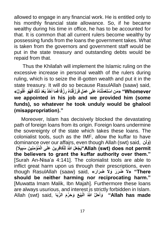allowed to engage in any financial work. He is entitled only to his monthly financial state allowance. So, if he became wealthy during his time in office, he has to be accounted for that. It is common that all current rulers become wealthy by possessing funds from the loans the government takes. What is taken from the governors and government staff would be put in the state treasury and outstanding debts would be repaid from that.

Thus the Khilafah will implement the Islamic ruling on the excessive increase in personal wealth of the rulers during ruling, which is to seize the ill-gotten wealth and put it in the state treasury. It will do so because RasulAllah (saaw) said, Whomever'' «مَنِ اسْتَعْمَلْنَاهُ عَلَى عَمَلٍ فَرَزَقْنَاهُ رِزْقًا فَمَا أَخَذَ بَعْدَ ذَلِكَ فَهُوَ غُلُولٌ» **َ َ we appointed in his job and we provided him (some funds), so whatever he took unduly would be ghalool (misappropriation)."**

Moreover, Islam has decisively blocked the devastating path of foreign loans from its origin. Foreign loans undermine the sovereignty of the state which takes these loans. The colonialist tools, such as the IMF, allow the kuffar to have dominance over our affairs, even though Allah (swt) said, ( $\hat{\mathbf{r}}$ ) **يًًل َي ْج ﴾ ُمْؤ ِمنِي َن َسب ي َن َعلَى الْ لِلْ َكافِر ههللاُ َعلَ" Allah (swt) does not permit ِ ِ the believers to grant the kuffar authority over them."** [Surah An-Nisa'a 4:141]. The colonialist tools are able to inflict great harm upon us through their prescriptions, even though RasulAllah (saaw) said, **«رَ راَضِ َضَر َر َوالَ There» "الَ should be neither harming nor reciprocating harm."**  [Muwatta Imam Malik, Ibn Majah]. Furthermore these loans are always usurious, and interest is strictly forbidden in Islam. **َبْي َع َو َح هر َم ال ِّرَبا** ,said) swt (Allah **الْ ههللاُ َحله وأَ" Allah has made َ**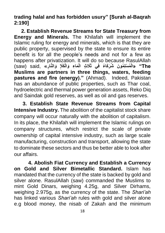**trading halal and has forbidden usury" [Surah al-Baqrah 2:190]**

**2. Establish Revenue Streams for State Treasury from Energy and Minerals.** The Khilafah will implement the Islamic ruling for energy and minerals, which is that they are public property, supervised by the state to ensure its entire benefit is for all the people's needs and not for a few as happens after privatization. It will do so because RasulAllah The" «الْمُسْلِمُونَ شُرَكَاءُ فِي ثَلَاثٍ الْمَاءِ وَالْكَلَإِ وَالنَّارِ » ,said (saw) **Muslims are partners in three things, waters, feeding pastures and fire (energy)."** (Ahmad). Indeed, Pakistan has an abundance of public properties, such as Thar coal, hydroelectric and thermal power generation assets, Reko Diq and Saindak gold reserves, as well as oil and gas reserves.

**3. Establish State Revenue Streams from Capital Intensive Industry.** The abolition of the capitalist stock share company will occur naturally with the abolition of capitalism. In its place, the Khilafah will implement the Islamic rulings on company structures, which restrict the scale of private ownership of capital intensive industry, such as large scale manufacturing, construction and transport, allowing the state to dominate these sectors and thus be better able to look after our affairs.

**4. Abolish Fiat Currency and Establish a Currency on Gold and Silver Bimetallic Standard.** Islam has mandated that the currency of the state is backed by gold and silver alone. RasulAllah (saw) commanded the Muslims to mint Gold Dinars, weighing 4.25g, and Silver Dirhams, weighing 2.975g, as the currency of the state. The *Shari'ah* has linked various *Shari'ah* rules with gold and silver alone e.g blood money, the nisab of Zakah and the minimum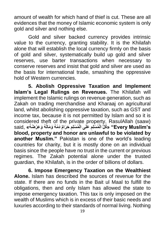amount of wealth for which hand of thief is cut. These are all evidences that the money of Islamic economic system is only gold and silver and nothing else.

Gold and silver backed currency provides intrinsic value to the currency, granting stability. It is the Khilafah alone that will establish the local currency firmly on the basis of gold and silver, systematically build up gold and silver reserves, use barter transactions when necessary to conserve reserves and insist that gold and silver are used as the basis for international trade, smashing the oppressive hold of Western currencies.

**5. Abolish Oppressive Taxation and Implement Islam's Legal Rulings on Revenues.** The Khilafah will implement the Islamic rulings on revenue generation, such as Zakah on trading merchandise and Kharaaj on agricultural land, whilst abolishing oppressive taxation, such as GST and income tax, because it is not permitted by Islam and so it is considered theft of the private property. RasulAllah (saaw) Every Muslim's" «كُلُّ الْمُسْلِّمِ عَلَى الْمُسْلِمِ حَرَامٌ دَمُهُ وَمَالُهُ وَعِرْضُهُ» ,said, « **ِ ِ blood, property and honor are unlawful to be violated by another Muslim."** Pakistan is one of the world's leading countries for charity, but it is mostly done on an individual basis since the people have no trust in the current or previous regimes. The Zakah potential alone under the trusted guardian, the Khilafah, is in the order of billions of dollars.

**6. Impose Emergency Taxation on the Wealthiest Alone.** Islam has described the sources of revenue for the state. If there are no funds in the Bait ul Maal to fulfill the obligations, then and only Islam has allowed the state to impose emergency taxation. This tax is only imposed on the wealth of Muslims which is in excess of their basic needs and luxuries according to their standards of normal living. Nothing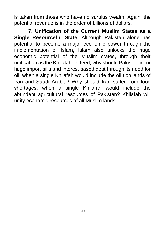is taken from those who have no surplus wealth. Again, the potential revenue is in the order of billions of dollars.

**7. Unification of the Current Muslim States as a Single Resourceful State.** Although Pakistan alone has potential to become a major economic power through the implementation of Islam**,** Islam also unlocks the huge economic potential of the Muslim states, through their unification as the Khilafah. Indeed, why should Pakistan incur huge import bills and interest based debt through its need for oil, when a single Khilafah would include the oil rich lands of Iran and Saudi Arabia? Why should Iran suffer from food shortages, when a single Khilafah would include the abundant agricultural resources of Pakistan? Khilafah will unify economic resources of all Muslim lands.